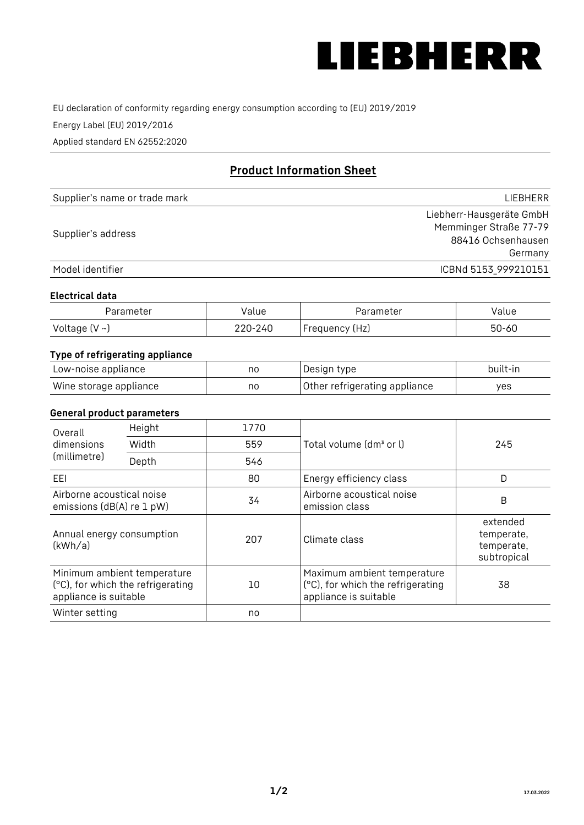

EU declaration of conformity regarding energy consumption according to (EU) 2019/2019

Energy Label (EU) 2019/2016

Applied standard EN 62552:2020

# **Product Information Sheet**

| Supplier's name or trade mark | <b>LIFBHFRR</b>          |
|-------------------------------|--------------------------|
|                               | Liebherr-Hausgeräte GmbH |
| Supplier's address            | Memminger Straße 77-79   |
|                               | 88416 Ochsenhausen       |
|                               | Germany                  |
| Model identifier              | ICBNd 5153 999210151     |

#### **Electrical data**

| Parameter     | Value         | Parameter      | alue ' |
|---------------|---------------|----------------|--------|
| Voltage (V ~) | 220-:<br>-24C | Frequency (Hz) | 50-60  |

## **Type of refrigerating appliance**

| Low-noise appliance    | no | Design type                   | built-in |
|------------------------|----|-------------------------------|----------|
| Wine storage appliance | no | Other refrigerating appliance | yes      |

## **General product parameters**

| Height<br>Overall<br>dimensions<br>Width<br>(millimetre)<br>Depth | 1770                                                             |     |                                                                                           |                                                     |
|-------------------------------------------------------------------|------------------------------------------------------------------|-----|-------------------------------------------------------------------------------------------|-----------------------------------------------------|
|                                                                   |                                                                  | 559 | Total volume (dm <sup>3</sup> or l)                                                       | 245                                                 |
|                                                                   |                                                                  | 546 |                                                                                           |                                                     |
| EEL                                                               |                                                                  | 80  | Energy efficiency class                                                                   | D                                                   |
| Airborne acoustical noise<br>emissions (dB(A) re 1 pW)            |                                                                  | 34  | Airborne acoustical noise<br>emission class                                               | B                                                   |
| Annual energy consumption<br>(kWh/a)                              |                                                                  | 207 | Climate class                                                                             | extended<br>temperate,<br>temperate,<br>subtropical |
| appliance is suitable                                             | Minimum ambient temperature<br>(°C), for which the refrigerating | 10  | Maximum ambient temperature<br>(°C), for which the refrigerating<br>appliance is suitable | 38                                                  |
| Winter setting                                                    |                                                                  | no  |                                                                                           |                                                     |